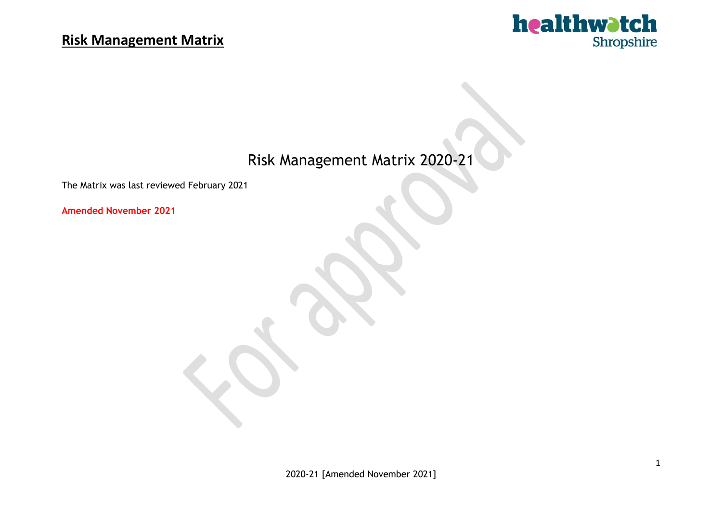

# Risk Management Matrix 2020-21

The Matrix was last reviewed February 2021

**Amended November 2021**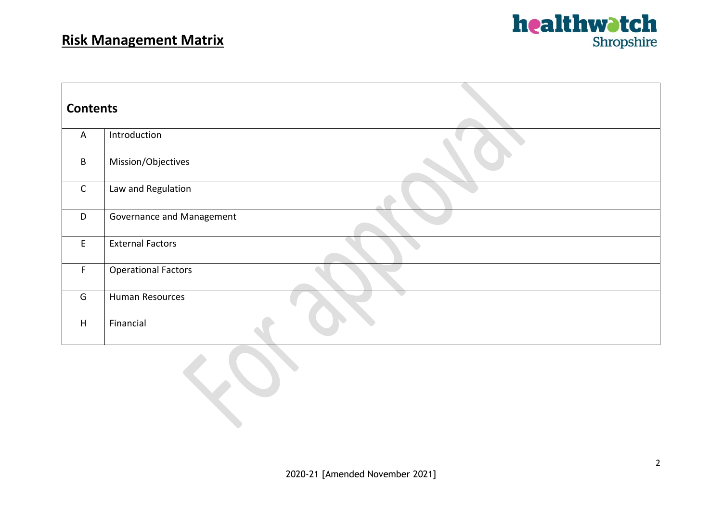

| <b>Contents</b> |                            |
|-----------------|----------------------------|
| $\overline{A}$  | Introduction               |
| B               | Mission/Objectives         |
| $\mathsf{C}$    | Law and Regulation         |
| D               | Governance and Management  |
| E               | <b>External Factors</b>    |
| $\mathsf F$     | <b>Operational Factors</b> |
| G               | <b>Human Resources</b>     |
| H               | Financial                  |

**CO**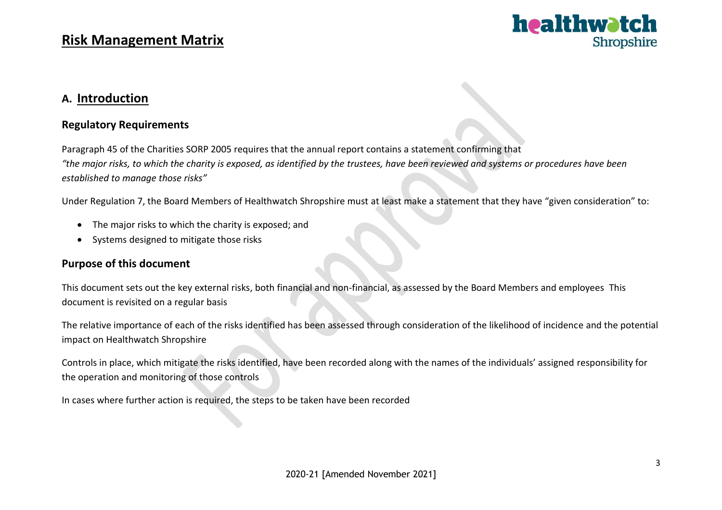

#### **A. Introduction**

#### **Regulatory Requirements**

Paragraph 45 of the Charities SORP 2005 requires that the annual report contains a statement confirming that "the major risks, to which the charity is exposed, as identified by the trustees, have been reviewed and systems or procedures have been *established to manage those risks"*

Under Regulation 7, the Board Members of Healthwatch Shropshire must at least make a statement that they have "given consideration" to:

- The major risks to which the charity is exposed; and
- Systems designed to mitigate those risks

#### **Purpose of this document**

This document sets out the key external risks, both financial and non-financial, as assessed by the Board Members and employees This document is revisited on a regular basis

The relative importance of each of the risks identified has been assessed through consideration of the likelihood of incidence and the potential impact on Healthwatch Shropshire

Controls in place, which mitigate the risks identified, have been recorded along with the names of the individuals' assigned responsibility for the operation and monitoring of those controls

In cases where further action is required, the steps to be taken have been recorded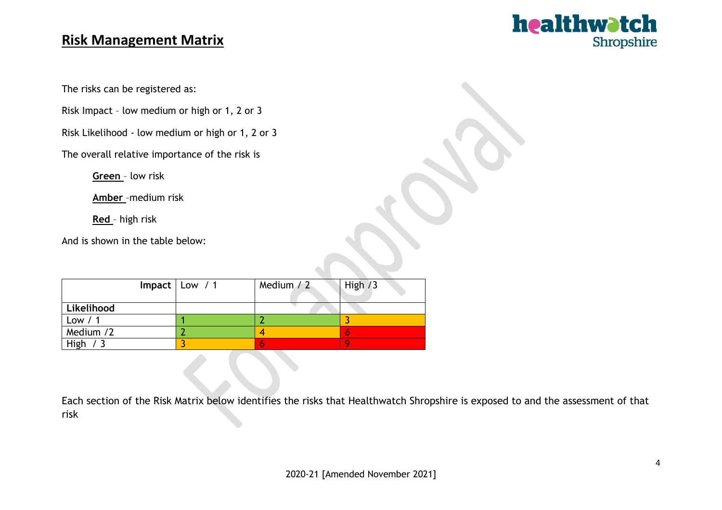

The risks can be registered as:

Risk Impact – low medium or high or 1, 2 or 3

Risk Likelihood - low medium or high or 1, 2 or 3

The overall relative importance of the risk is

**Green** – low risk

**Amber** –medium risk

**Red** – high risk

And is shown in the table below:

|            | Impact   Low $/1$ | Medium $/2$ | High $/3$ |
|------------|-------------------|-------------|-----------|
| Likelihood |                   |             |           |
| Low $/1$   |                   |             |           |
| Medium /2  |                   |             |           |
| High $/3$  |                   |             |           |

Each section of the Risk Matrix below identifies the risks that Healthwatch Shropshire is exposed to and the assessment of that risk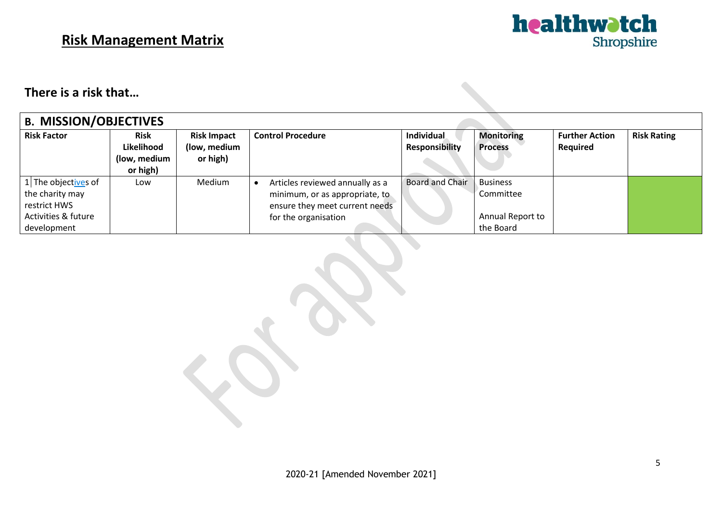

#### **There is a risk that…**

| <b>B. MISSION/OBJECTIVES</b>                    |                                                       |                                                |                                                                   |                                            |                                     |                                   |                    |  |  |
|-------------------------------------------------|-------------------------------------------------------|------------------------------------------------|-------------------------------------------------------------------|--------------------------------------------|-------------------------------------|-----------------------------------|--------------------|--|--|
| <b>Risk Factor</b>                              | <b>Risk</b><br>Likelihood<br>(low, medium<br>or high) | <b>Risk Impact</b><br>(low, medium<br>or high) | <b>Control Procedure</b>                                          | <b>Individual</b><br><b>Responsibility</b> | <b>Monitoring</b><br><b>Process</b> | <b>Further Action</b><br>Required | <b>Risk Rating</b> |  |  |
| 1 The object <u>ive</u> s of<br>the charity may | Low                                                   | Medium                                         | Articles reviewed annually as a<br>minimum, or as appropriate, to | Board and Chair                            | <b>Business</b><br>Committee        |                                   |                    |  |  |
| restrict HWS                                    |                                                       |                                                | ensure they meet current needs                                    |                                            |                                     |                                   |                    |  |  |
| Activities & future                             |                                                       |                                                | for the organisation                                              |                                            | Annual Report to                    |                                   |                    |  |  |
| development                                     |                                                       |                                                |                                                                   |                                            | the Board                           |                                   |                    |  |  |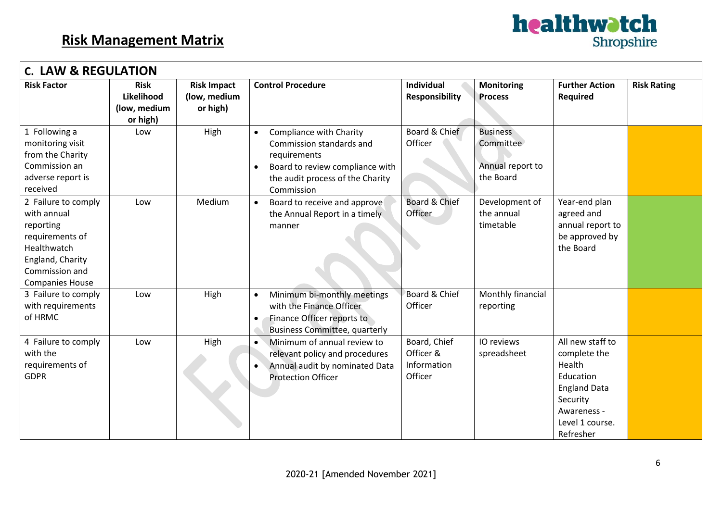

| <b>C. LAW &amp; REGULATION</b>                                                                                                                    |                                                       |                                                |                                                                                                                                                                                    |                                                     |                                                               |                                                                                                                                           |                    |  |  |  |
|---------------------------------------------------------------------------------------------------------------------------------------------------|-------------------------------------------------------|------------------------------------------------|------------------------------------------------------------------------------------------------------------------------------------------------------------------------------------|-----------------------------------------------------|---------------------------------------------------------------|-------------------------------------------------------------------------------------------------------------------------------------------|--------------------|--|--|--|
| <b>Risk Factor</b>                                                                                                                                | <b>Risk</b><br>Likelihood<br>(low, medium<br>or high) | <b>Risk Impact</b><br>(low, medium<br>or high) | <b>Control Procedure</b>                                                                                                                                                           | Individual<br><b>Responsibility</b>                 | <b>Monitoring</b><br><b>Process</b>                           | <b>Further Action</b><br>Required                                                                                                         | <b>Risk Rating</b> |  |  |  |
| 1 Following a<br>monitoring visit<br>from the Charity<br>Commission an<br>adverse report is<br>received                                           | Low                                                   | High                                           | Compliance with Charity<br>$\bullet$<br>Commission standards and<br>requirements<br>Board to review compliance with<br>$\bullet$<br>the audit process of the Charity<br>Commission | Board & Chief<br>Officer                            | <b>Business</b><br>Committee<br>Annual report to<br>the Board |                                                                                                                                           |                    |  |  |  |
| 2 Failure to comply<br>with annual<br>reporting<br>requirements of<br>Healthwatch<br>England, Charity<br>Commission and<br><b>Companies House</b> | Low                                                   | Medium                                         | Board to receive and approve<br>$\bullet$<br>the Annual Report in a timely<br>manner                                                                                               | Board & Chief<br>Officer                            | Development of<br>the annual<br>timetable                     | Year-end plan<br>agreed and<br>annual report to<br>be approved by<br>the Board                                                            |                    |  |  |  |
| 3 Failure to comply<br>with requirements<br>of HRMC                                                                                               | Low                                                   | High                                           | Minimum bi-monthly meetings<br>with the Finance Officer<br>Finance Officer reports to<br><b>Business Committee, quarterly</b>                                                      | Board & Chief<br>Officer                            | Monthly financial<br>reporting                                |                                                                                                                                           |                    |  |  |  |
| 4 Failure to comply<br>with the<br>requirements of<br><b>GDPR</b>                                                                                 | Low                                                   | High                                           | Minimum of annual review to<br>relevant policy and procedures<br>Annual audit by nominated Data<br><b>Protection Officer</b>                                                       | Board, Chief<br>Officer &<br>Information<br>Officer | IO reviews<br>spreadsheet                                     | All new staff to<br>complete the<br>Health<br>Education<br><b>England Data</b><br>Security<br>Awareness -<br>Level 1 course.<br>Refresher |                    |  |  |  |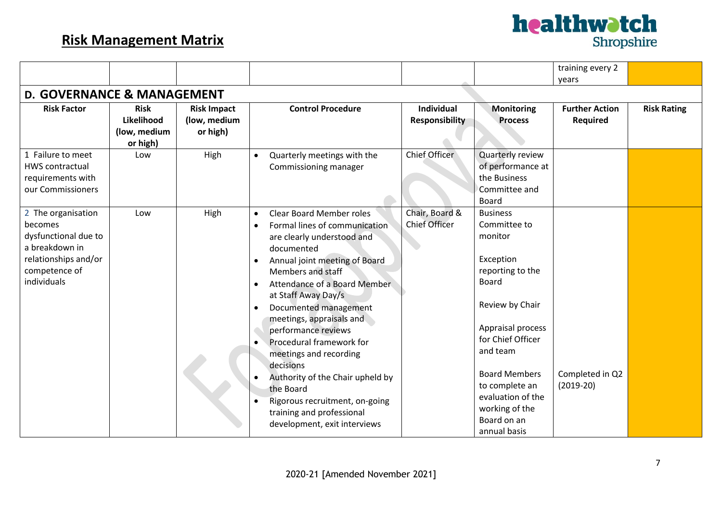|                                       |              |                    |                                              |                       |                      | training every 2      |                    |
|---------------------------------------|--------------|--------------------|----------------------------------------------|-----------------------|----------------------|-----------------------|--------------------|
|                                       |              |                    |                                              |                       |                      | years                 |                    |
| <b>D. GOVERNANCE &amp; MANAGEMENT</b> |              |                    |                                              |                       |                      |                       |                    |
| <b>Risk Factor</b>                    | <b>Risk</b>  | <b>Risk Impact</b> | <b>Control Procedure</b>                     | <b>Individual</b>     | <b>Monitoring</b>    | <b>Further Action</b> | <b>Risk Rating</b> |
|                                       | Likelihood   | (low, medium       |                                              | <b>Responsibility</b> | <b>Process</b>       | <b>Required</b>       |                    |
|                                       | (low, medium | or high)           |                                              |                       |                      |                       |                    |
|                                       | or high)     |                    |                                              |                       |                      |                       |                    |
| 1 Failure to meet                     | Low          | High               | Quarterly meetings with the<br>$\bullet$     | Chief Officer         | Quarterly review     |                       |                    |
| <b>HWS contractual</b>                |              |                    | Commissioning manager                        |                       | of performance at    |                       |                    |
| requirements with                     |              |                    |                                              |                       | the Business         |                       |                    |
| our Commissioners                     |              |                    |                                              |                       | Committee and        |                       |                    |
|                                       |              |                    |                                              |                       | <b>Board</b>         |                       |                    |
| 2 The organisation                    | Low          | High               | <b>Clear Board Member roles</b><br>$\bullet$ | Chair, Board &        | <b>Business</b>      |                       |                    |
| becomes                               |              |                    | Formal lines of communication<br>$\bullet$   | <b>Chief Officer</b>  | Committee to         |                       |                    |
| dysfunctional due to                  |              |                    | are clearly understood and                   |                       | monitor              |                       |                    |
| a breakdown in                        |              |                    | documented                                   |                       |                      |                       |                    |
| relationships and/or                  |              |                    | Annual joint meeting of Board<br>$\bullet$   |                       | Exception            |                       |                    |
| competence of                         |              |                    | Members and staff                            |                       | reporting to the     |                       |                    |
| individuals                           |              |                    | Attendance of a Board Member<br>$\bullet$    |                       | <b>Board</b>         |                       |                    |
|                                       |              |                    | at Staff Away Day/s                          |                       |                      |                       |                    |
|                                       |              |                    | Documented management<br>$\bullet$           |                       | Review by Chair      |                       |                    |
|                                       |              |                    | meetings, appraisals and                     |                       |                      |                       |                    |
|                                       |              |                    | performance reviews                          |                       | Appraisal process    |                       |                    |
|                                       |              |                    | Procedural framework for<br>$\bullet$        |                       | for Chief Officer    |                       |                    |
|                                       |              |                    | meetings and recording                       |                       | and team             |                       |                    |
|                                       |              |                    | decisions                                    |                       |                      |                       |                    |
|                                       |              |                    | Authority of the Chair upheld by             |                       | <b>Board Members</b> | Completed in Q2       |                    |
|                                       |              |                    | the Board                                    |                       | to complete an       | $(2019-20)$           |                    |
|                                       |              |                    | Rigorous recruitment, on-going               |                       | evaluation of the    |                       |                    |
|                                       |              |                    | training and professional                    |                       | working of the       |                       |                    |
|                                       |              |                    | development, exit interviews                 |                       | Board on an          |                       |                    |
|                                       |              |                    |                                              |                       | annual basis         |                       |                    |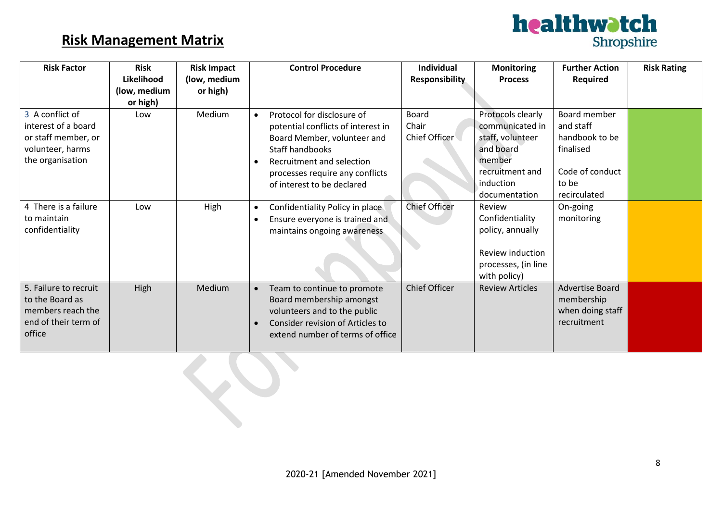

| <b>Risk Factor</b>                                                                                    | <b>Risk</b><br>Likelihood<br>(low, medium | <b>Risk Impact</b><br>(low, medium | <b>Control Procedure</b>                                                                                                                                                                                                      | <b>Individual</b><br><b>Responsibility</b> | <b>Monitoring</b><br><b>Process</b>                                                                                              | <b>Further Action</b><br><b>Required</b>                                                             | <b>Risk Rating</b> |
|-------------------------------------------------------------------------------------------------------|-------------------------------------------|------------------------------------|-------------------------------------------------------------------------------------------------------------------------------------------------------------------------------------------------------------------------------|--------------------------------------------|----------------------------------------------------------------------------------------------------------------------------------|------------------------------------------------------------------------------------------------------|--------------------|
|                                                                                                       | or high)                                  | or high)                           |                                                                                                                                                                                                                               |                                            |                                                                                                                                  |                                                                                                      |                    |
| 3 A conflict of<br>interest of a board<br>or staff member, or<br>volunteer, harms<br>the organisation | Low                                       | Medium                             | Protocol for disclosure of<br>$\bullet$<br>potential conflicts of interest in<br>Board Member, volunteer and<br>Staff handbooks<br>Recruitment and selection<br>processes require any conflicts<br>of interest to be declared | <b>Board</b><br>Chair<br>Chief Officer     | Protocols clearly<br>communicated in<br>staff, volunteer<br>and board<br>member<br>recruitment and<br>induction<br>documentation | Board member<br>and staff<br>handbook to be<br>finalised<br>Code of conduct<br>to be<br>recirculated |                    |
| 4 There is a failure<br>to maintain<br>confidentiality                                                | Low                                       | High                               | Confidentiality Policy in place<br>$\bullet$<br>Ensure everyone is trained and<br>maintains ongoing awareness                                                                                                                 | <b>Chief Officer</b>                       | Review<br>Confidentiality<br>policy, annually<br>Review induction<br>processes, (in line<br>with policy)                         | On-going<br>monitoring                                                                               |                    |
| 5. Failure to recruit<br>to the Board as<br>members reach the<br>end of their term of<br>office       | High                                      | Medium                             | Team to continue to promote<br>Board membership amongst<br>volunteers and to the public<br>Consider revision of Articles to<br>extend number of terms of office                                                               | Chief Officer                              | <b>Review Articles</b>                                                                                                           | <b>Advertise Board</b><br>membership<br>when doing staff<br>recruitment                              |                    |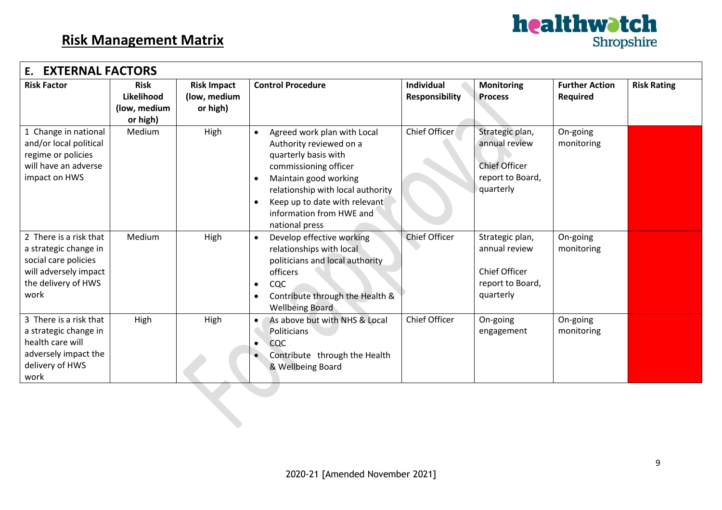

| <b>EXTERNAL FACTORS</b><br>Ε.                                                                                                   |                                                       |                                                |                                                                                                                                                                                                                                                                   |                                            |                                                                                           |                                          |                    |  |  |  |
|---------------------------------------------------------------------------------------------------------------------------------|-------------------------------------------------------|------------------------------------------------|-------------------------------------------------------------------------------------------------------------------------------------------------------------------------------------------------------------------------------------------------------------------|--------------------------------------------|-------------------------------------------------------------------------------------------|------------------------------------------|--------------------|--|--|--|
| <b>Risk Factor</b>                                                                                                              | <b>Risk</b><br>Likelihood<br>(low, medium<br>or high) | <b>Risk Impact</b><br>(low, medium<br>or high) | <b>Control Procedure</b>                                                                                                                                                                                                                                          | <b>Individual</b><br><b>Responsibility</b> | <b>Monitoring</b><br><b>Process</b>                                                       | <b>Further Action</b><br><b>Required</b> | <b>Risk Rating</b> |  |  |  |
| 1 Change in national<br>and/or local political<br>regime or policies<br>will have an adverse<br>impact on HWS                   | Medium                                                | High                                           | Agreed work plan with Local<br>Authority reviewed on a<br>quarterly basis with<br>commissioning officer<br>Maintain good working<br>$\bullet$<br>relationship with local authority<br>Keep up to date with relevant<br>information from HWE and<br>national press | Chief Officer                              | Strategic plan,<br>annual review<br><b>Chief Officer</b><br>report to Board,<br>quarterly | On-going<br>monitoring                   |                    |  |  |  |
| 2 There is a risk that<br>a strategic change in<br>social care policies<br>will adversely impact<br>the delivery of HWS<br>work | Medium                                                | High                                           | Develop effective working<br>relationships with local<br>politicians and local authority<br>officers<br>CQC<br>Contribute through the Health &<br><b>Wellbeing Board</b>                                                                                          | <b>Chief Officer</b>                       | Strategic plan,<br>annual review<br><b>Chief Officer</b><br>report to Board,<br>quarterly | On-going<br>monitoring                   |                    |  |  |  |
| 3 There is a risk that<br>a strategic change in<br>health care will<br>adversely impact the<br>delivery of HWS<br>work          | High                                                  | High                                           | As above but with NHS & Local<br>Politicians<br><b>CQC</b><br>Contribute through the Health<br>$\bullet$<br>& Wellbeing Board                                                                                                                                     | <b>Chief Officer</b>                       | On-going<br>engagement                                                                    | On-going<br>monitoring                   |                    |  |  |  |
|                                                                                                                                 |                                                       |                                                |                                                                                                                                                                                                                                                                   |                                            |                                                                                           |                                          |                    |  |  |  |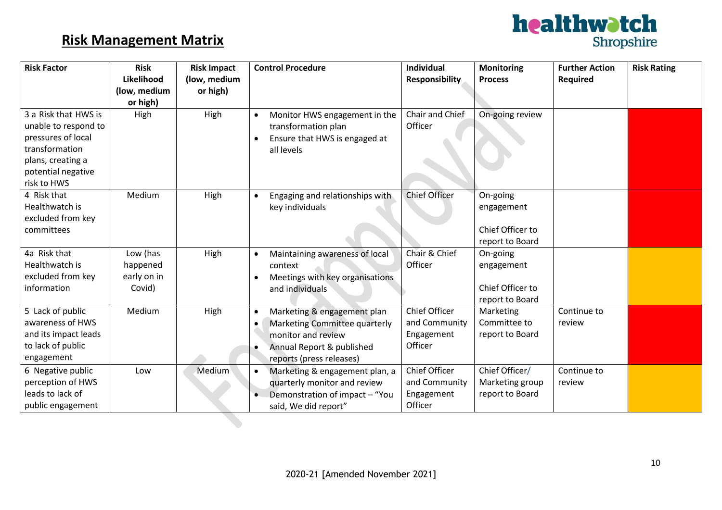

| <b>Risk Factor</b>                                                                                                                             | <b>Risk</b><br>Likelihood                     | <b>Risk Impact</b><br>(low, medium | <b>Control Procedure</b>                                                                                                                                 | <b>Individual</b><br><b>Responsibility</b>                     | <b>Monitoring</b><br><b>Process</b>                           | <b>Further Action</b><br><b>Required</b> | <b>Risk Rating</b> |
|------------------------------------------------------------------------------------------------------------------------------------------------|-----------------------------------------------|------------------------------------|----------------------------------------------------------------------------------------------------------------------------------------------------------|----------------------------------------------------------------|---------------------------------------------------------------|------------------------------------------|--------------------|
|                                                                                                                                                | (low, medium                                  | or high)                           |                                                                                                                                                          |                                                                |                                                               |                                          |                    |
| 3 a Risk that HWS is<br>unable to respond to<br>pressures of local<br>transformation<br>plans, creating a<br>potential negative<br>risk to HWS | or high)<br>High                              | High                               | Monitor HWS engagement in the<br>transformation plan<br>Ensure that HWS is engaged at<br>all levels                                                      | Chair and Chief<br>Officer                                     | On-going review                                               |                                          |                    |
| 4 Risk that<br>Healthwatch is<br>excluded from key<br>committees                                                                               | Medium                                        | High                               | Engaging and relationships with<br>key individuals                                                                                                       | <b>Chief Officer</b>                                           | On-going<br>engagement<br>Chief Officer to<br>report to Board |                                          |                    |
| 4a Risk that<br>Healthwatch is<br>excluded from key<br>information                                                                             | Low (has<br>happened<br>early on in<br>Covid) | High                               | Maintaining awareness of local<br>context<br>Meetings with key organisations<br>and individuals                                                          | Chair & Chief<br>Officer                                       | On-going<br>engagement<br>Chief Officer to<br>report to Board |                                          |                    |
| 5 Lack of public<br>awareness of HWS<br>and its impact leads<br>to lack of public<br>engagement                                                | Medium                                        | High                               | Marketing & engagement plan<br>$\bullet$<br>Marketing Committee quarterly<br>monitor and review<br>Annual Report & published<br>reports (press releases) | <b>Chief Officer</b><br>and Community<br>Engagement<br>Officer | Marketing<br>Committee to<br>report to Board                  | Continue to<br>review                    |                    |
| 6 Negative public<br>perception of HWS<br>leads to lack of<br>public engagement                                                                | Low                                           | Medium                             | Marketing & engagement plan, a<br>quarterly monitor and review<br>Demonstration of impact - "You<br>said, We did report"                                 | Chief Officer<br>and Community<br>Engagement<br>Officer        | Chief Officer/<br>Marketing group<br>report to Board          | Continue to<br>review                    |                    |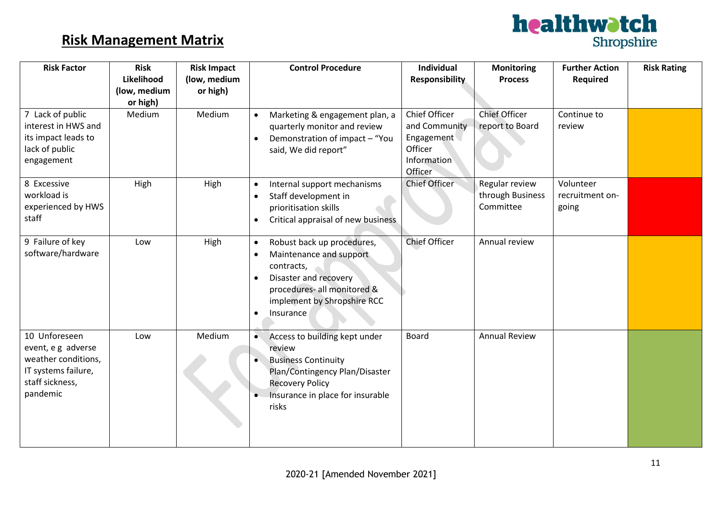

| <b>Risk Factor</b>                                                                                               | <b>Risk</b><br>Likelihood<br>(low, medium<br>or high) | <b>Risk Impact</b><br>(low, medium<br>or high) | <b>Control Procedure</b>                                                                                                                                                                                            | Individual<br><b>Responsibility</b>                                               | <b>Monitoring</b><br><b>Process</b>             | <b>Further Action</b><br><b>Required</b> | <b>Risk Rating</b> |
|------------------------------------------------------------------------------------------------------------------|-------------------------------------------------------|------------------------------------------------|---------------------------------------------------------------------------------------------------------------------------------------------------------------------------------------------------------------------|-----------------------------------------------------------------------------------|-------------------------------------------------|------------------------------------------|--------------------|
| 7 Lack of public<br>interest in HWS and<br>its impact leads to<br>lack of public<br>engagement                   | Medium                                                | Medium                                         | Marketing & engagement plan, a<br>$\bullet$<br>quarterly monitor and review<br>Demonstration of impact - "You<br>$\bullet$<br>said, We did report"                                                                  | Chief Officer<br>and Community<br>Engagement<br>Officer<br>Information<br>Officer | <b>Chief Officer</b><br>report to Board         | Continue to<br>review                    |                    |
| 8 Excessive<br>workload is<br>experienced by HWS<br>staff                                                        | High                                                  | High                                           | Internal support mechanisms<br>$\bullet$<br>Staff development in<br>$\bullet$<br>prioritisation skills<br>Critical appraisal of new business<br>$\bullet$                                                           | Chief Officer                                                                     | Regular review<br>through Business<br>Committee | Volunteer<br>recruitment on-<br>going    |                    |
| 9 Failure of key<br>software/hardware                                                                            | Low                                                   | High                                           | Robust back up procedures,<br>$\bullet$<br>Maintenance and support<br>$\bullet$<br>contracts,<br>Disaster and recovery<br>$\bullet$<br>procedures- all monitored &<br>implement by Shropshire RCC<br>Insurance<br>٠ | <b>Chief Officer</b>                                                              | Annual review                                   |                                          |                    |
| 10 Unforeseen<br>event, e g adverse<br>weather conditions,<br>IT systems failure,<br>staff sickness,<br>pandemic | Low                                                   | Medium                                         | Access to building kept under<br>$\bullet$<br>review<br><b>Business Continuity</b><br>Plan/Contingency Plan/Disaster<br><b>Recovery Policy</b><br>Insurance in place for insurable<br>risks                         | <b>Board</b>                                                                      | <b>Annual Review</b>                            |                                          |                    |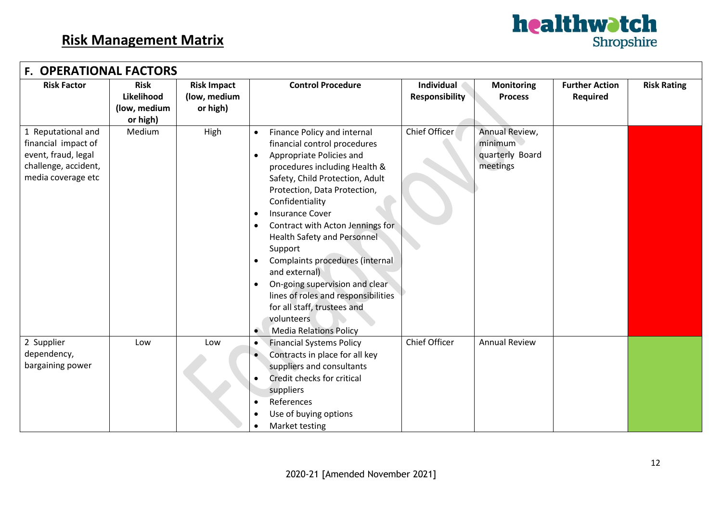

|                                                                                                                | <b>F. OPERATIONAL FACTORS</b>                         |                                                |                                                                                                                                                                                                                                                                                                                                                                                                                                                                                                                                                                    |                                     |                                                          |                                   |                    |  |  |  |  |
|----------------------------------------------------------------------------------------------------------------|-------------------------------------------------------|------------------------------------------------|--------------------------------------------------------------------------------------------------------------------------------------------------------------------------------------------------------------------------------------------------------------------------------------------------------------------------------------------------------------------------------------------------------------------------------------------------------------------------------------------------------------------------------------------------------------------|-------------------------------------|----------------------------------------------------------|-----------------------------------|--------------------|--|--|--|--|
| <b>Risk Factor</b>                                                                                             | <b>Risk</b><br>Likelihood<br>(low, medium<br>or high) | <b>Risk Impact</b><br>(low, medium<br>or high) | <b>Control Procedure</b>                                                                                                                                                                                                                                                                                                                                                                                                                                                                                                                                           | Individual<br><b>Responsibility</b> | <b>Monitoring</b><br><b>Process</b>                      | <b>Further Action</b><br>Required | <b>Risk Rating</b> |  |  |  |  |
| 1 Reputational and<br>financial impact of<br>event, fraud, legal<br>challenge, accident,<br>media coverage etc | Medium                                                | High                                           | Finance Policy and internal<br>financial control procedures<br>Appropriate Policies and<br>$\bullet$<br>procedures including Health &<br>Safety, Child Protection, Adult<br>Protection, Data Protection,<br>Confidentiality<br><b>Insurance Cover</b><br>$\bullet$<br>Contract with Acton Jennings for<br><b>Health Safety and Personnel</b><br>Support<br>Complaints procedures (internal<br>and external)<br>On-going supervision and clear<br>lines of roles and responsibilities<br>for all staff, trustees and<br>volunteers<br><b>Media Relations Policy</b> | Chief Officer                       | Annual Review,<br>minimum<br>quarterly Board<br>meetings |                                   |                    |  |  |  |  |
| 2 Supplier<br>dependency,<br>bargaining power                                                                  | Low                                                   | Low                                            | <b>Financial Systems Policy</b><br>$\bullet$<br>Contracts in place for all key<br>suppliers and consultants<br>Credit checks for critical<br>suppliers<br>References<br>Use of buying options<br>Market testing                                                                                                                                                                                                                                                                                                                                                    | Chief Officer                       | <b>Annual Review</b>                                     |                                   |                    |  |  |  |  |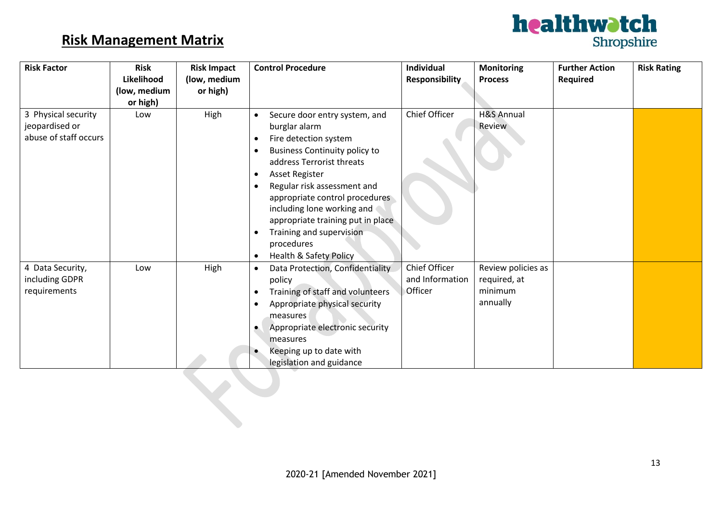

| <b>Risk Factor</b>                      | <b>Risk</b>  | <b>Risk Impact</b> | <b>Control Procedure</b>                                          | Individual      | <b>Monitoring</b>               | <b>Further Action</b> | <b>Risk Rating</b> |
|-----------------------------------------|--------------|--------------------|-------------------------------------------------------------------|-----------------|---------------------------------|-----------------------|--------------------|
|                                         | Likelihood   | (low, medium       |                                                                   | Responsibility  | <b>Process</b>                  | <b>Required</b>       |                    |
|                                         | (low, medium | or high)           |                                                                   |                 |                                 |                       |                    |
|                                         | or high)     |                    |                                                                   | Chief Officer   |                                 |                       |                    |
| 3 Physical security                     | Low          | High               | Secure door entry system, and                                     |                 | <b>H&amp;S Annual</b><br>Review |                       |                    |
| jeopardised or<br>abuse of staff occurs |              |                    | burglar alarm                                                     |                 |                                 |                       |                    |
|                                         |              |                    | Fire detection system                                             |                 |                                 |                       |                    |
|                                         |              |                    | <b>Business Continuity policy to</b><br>address Terrorist threats |                 |                                 |                       |                    |
|                                         |              |                    | Asset Register                                                    |                 |                                 |                       |                    |
|                                         |              |                    | Regular risk assessment and                                       |                 |                                 |                       |                    |
|                                         |              |                    | appropriate control procedures                                    |                 |                                 |                       |                    |
|                                         |              |                    | including lone working and                                        |                 |                                 |                       |                    |
|                                         |              |                    | appropriate training put in place                                 |                 |                                 |                       |                    |
|                                         |              |                    | Training and supervision<br>$\bullet$                             |                 |                                 |                       |                    |
|                                         |              |                    | procedures                                                        |                 |                                 |                       |                    |
|                                         |              |                    | <b>Health &amp; Safety Policy</b>                                 |                 |                                 |                       |                    |
| 4 Data Security,                        | Low          | High               | Data Protection, Confidentiality<br>$\bullet$                     | Chief Officer   | Review policies as              |                       |                    |
| including GDPR                          |              |                    | policy                                                            | and Information | required, at                    |                       |                    |
| requirements                            |              |                    | Training of staff and volunteers                                  | Officer         | minimum                         |                       |                    |
|                                         |              |                    | Appropriate physical security                                     |                 | annually                        |                       |                    |
|                                         |              |                    | measures                                                          |                 |                                 |                       |                    |
|                                         |              |                    | Appropriate electronic security<br>$\bullet$                      |                 |                                 |                       |                    |
|                                         |              |                    | measures                                                          |                 |                                 |                       |                    |
|                                         |              |                    | Keeping up to date with                                           |                 |                                 |                       |                    |
|                                         |              |                    | legislation and guidance                                          |                 |                                 |                       |                    |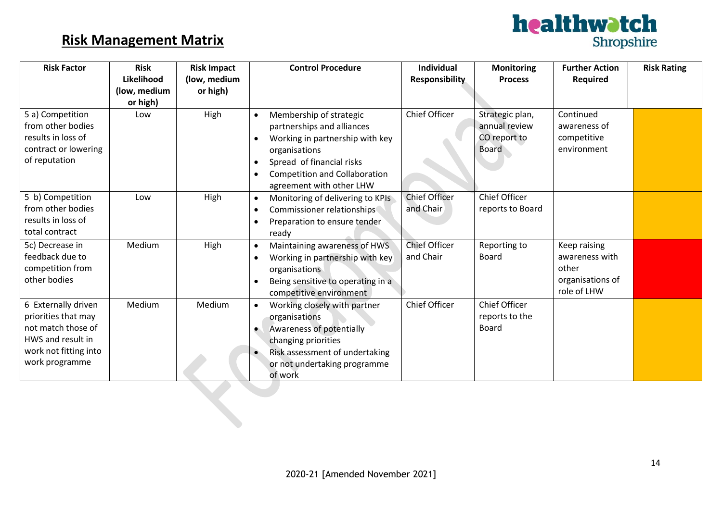

| <b>Risk Factor</b>                                                                                                               | <b>Risk</b><br>Likelihood<br>(low, medium<br>or high) | <b>Risk Impact</b><br>(low, medium<br>or high) | <b>Control Procedure</b>                                                                                                                                                                                                             | Individual<br>Responsibility      | <b>Monitoring</b><br><b>Process</b>                              | <b>Further Action</b><br>Required                                          | <b>Risk Rating</b> |
|----------------------------------------------------------------------------------------------------------------------------------|-------------------------------------------------------|------------------------------------------------|--------------------------------------------------------------------------------------------------------------------------------------------------------------------------------------------------------------------------------------|-----------------------------------|------------------------------------------------------------------|----------------------------------------------------------------------------|--------------------|
| 5 a) Competition<br>from other bodies<br>results in loss of<br>contract or lowering<br>of reputation                             | Low                                                   | High                                           | Membership of strategic<br>partnerships and alliances<br>Working in partnership with key<br>organisations<br>Spread of financial risks<br>$\bullet$<br><b>Competition and Collaboration</b><br>$\bullet$<br>agreement with other LHW | <b>Chief Officer</b>              | Strategic plan,<br>annual review<br>CO report to<br><b>Board</b> | Continued<br>awareness of<br>competitive<br>environment                    |                    |
| 5 b) Competition<br>from other bodies<br>results in loss of<br>total contract                                                    | Low                                                   | High                                           | Monitoring of delivering to KPIs<br>$\bullet$<br>Commissioner relationships<br>Preparation to ensure tender<br>ready                                                                                                                 | <b>Chief Officer</b><br>and Chair | <b>Chief Officer</b><br>reports to Board                         |                                                                            |                    |
| 5c) Decrease in<br>feedback due to<br>competition from<br>other bodies                                                           | Medium                                                | High                                           | Maintaining awareness of HWS<br>$\bullet$<br>Working in partnership with key<br>organisations<br>Being sensitive to operating in a<br>competitive environment                                                                        | <b>Chief Officer</b><br>and Chair | Reporting to<br><b>Board</b>                                     | Keep raising<br>awareness with<br>other<br>organisations of<br>role of LHW |                    |
| 6 Externally driven<br>priorities that may<br>not match those of<br>HWS and result in<br>work not fitting into<br>work programme | Medium                                                | Medium                                         | Working closely with partner<br>$\bullet$<br>organisations<br>Awareness of potentially<br>$\bullet$<br>changing priorities<br>Risk assessment of undertaking<br>$\bullet$<br>or not undertaking programme<br>of work                 | Chief Officer                     | <b>Chief Officer</b><br>reports to the<br>Board                  |                                                                            |                    |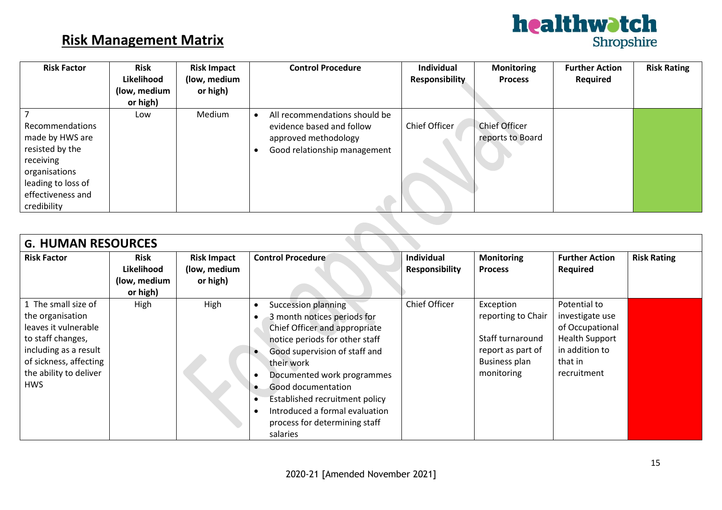

| <b>Risk Factor</b>                                                                                                                            | <b>Risk</b><br>Likelihood<br>(low, medium<br>or high) | <b>Risk Impact</b><br>(low, medium<br>or high) |  | <b>Control Procedure</b>                                                                                           | <b>Individual</b><br><b>Responsibility</b> | <b>Monitoring</b><br><b>Process</b>      | <b>Further Action</b><br>Required | <b>Risk Rating</b> |
|-----------------------------------------------------------------------------------------------------------------------------------------------|-------------------------------------------------------|------------------------------------------------|--|--------------------------------------------------------------------------------------------------------------------|--------------------------------------------|------------------------------------------|-----------------------------------|--------------------|
| Recommendations<br>made by HWS are<br>resisted by the<br>receiving<br>organisations<br>leading to loss of<br>effectiveness and<br>credibility | Low                                                   | Medium                                         |  | All recommendations should be<br>evidence based and follow<br>approved methodology<br>Good relationship management | Chief Officer                              | <b>Chief Officer</b><br>reports to Board |                                   |                    |
|                                                                                                                                               |                                                       |                                                |  |                                                                                                                    |                                            |                                          |                                   |                    |

| <b>G. HUMAN RESOURCES</b>                                                                                                                                                       |                                                       |                                                |                                                                                                                                                                                                                                                                                                                                                         |                                            |                                                                                                                |                                                                                                                         |                    |  |  |
|---------------------------------------------------------------------------------------------------------------------------------------------------------------------------------|-------------------------------------------------------|------------------------------------------------|---------------------------------------------------------------------------------------------------------------------------------------------------------------------------------------------------------------------------------------------------------------------------------------------------------------------------------------------------------|--------------------------------------------|----------------------------------------------------------------------------------------------------------------|-------------------------------------------------------------------------------------------------------------------------|--------------------|--|--|
| <b>Risk Factor</b>                                                                                                                                                              | <b>Risk</b><br>Likelihood<br>(low, medium<br>or high) | <b>Risk Impact</b><br>(low, medium<br>or high) | <b>Control Procedure</b>                                                                                                                                                                                                                                                                                                                                | <b>Individual</b><br><b>Responsibility</b> | <b>Monitoring</b><br><b>Process</b>                                                                            | <b>Further Action</b><br><b>Required</b>                                                                                | <b>Risk Rating</b> |  |  |
| 1 The small size of<br>the organisation<br>leaves it vulnerable<br>to staff changes,<br>including as a result<br>of sickness, affecting<br>the ability to deliver<br><b>HWS</b> | High                                                  | High                                           | <b>Succession planning</b><br>3 month notices periods for<br>Chief Officer and appropriate<br>notice periods for other staff<br>Good supervision of staff and<br>their work<br>Documented work programmes<br>Good documentation<br><b>Established recruitment policy</b><br>Introduced a formal evaluation<br>process for determining staff<br>salaries | Chief Officer                              | Exception<br>reporting to Chair<br>Staff turnaround<br>report as part of<br><b>Business plan</b><br>monitoring | Potential to<br>investigate use<br>of Occupational<br><b>Health Support</b><br>in addition to<br>that in<br>recruitment |                    |  |  |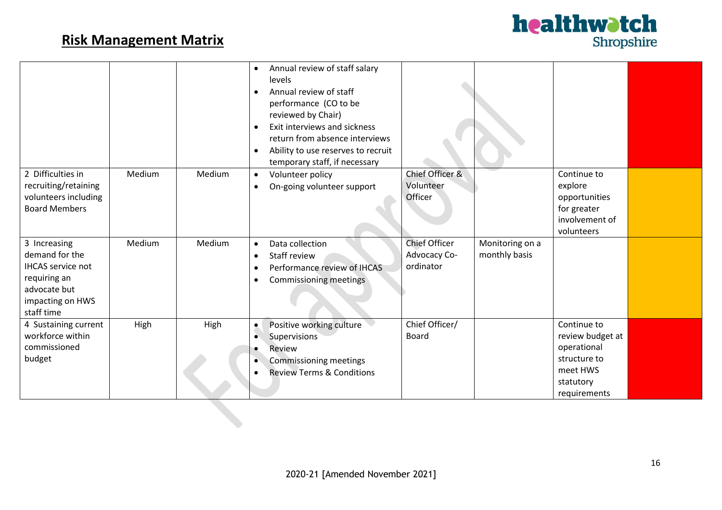

|                                                                                                                              |        |        | Annual review of staff salary<br>$\bullet$<br>levels<br>Annual review of staff<br>$\bullet$<br>performance (CO to be<br>reviewed by Chair)<br>Exit interviews and sickness<br>$\bullet$<br>return from absence interviews<br>Ability to use reserves to recruit<br>$\bullet$<br>temporary staff, if necessary |                                                   |                                  |                                                                                                         |  |
|------------------------------------------------------------------------------------------------------------------------------|--------|--------|---------------------------------------------------------------------------------------------------------------------------------------------------------------------------------------------------------------------------------------------------------------------------------------------------------------|---------------------------------------------------|----------------------------------|---------------------------------------------------------------------------------------------------------|--|
| 2 Difficulties in<br>recruiting/retaining<br>volunteers including<br><b>Board Members</b>                                    | Medium | Medium | Volunteer policy<br>$\bullet$<br>On-going volunteer support<br>$\bullet$                                                                                                                                                                                                                                      | Chief Officer &<br>Volunteer<br>Officer           |                                  | Continue to<br>explore<br>opportunities<br>for greater<br>involvement of<br>volunteers                  |  |
| 3 Increasing<br>demand for the<br><b>IHCAS</b> service not<br>requiring an<br>advocate but<br>impacting on HWS<br>staff time | Medium | Medium | Data collection<br>$\bullet$<br>Staff review<br>$\bullet$<br>Performance review of IHCAS<br>Commissioning meetings<br>$\bullet$                                                                                                                                                                               | <b>Chief Officer</b><br>Advocacy Co-<br>ordinator | Monitoring on a<br>monthly basis |                                                                                                         |  |
| 4 Sustaining current<br>workforce within<br>commissioned<br>budget                                                           | High   | High   | Positive working culture<br>$\bullet$<br>Supervisions<br>$\bullet$<br>Review<br>Commissioning meetings<br>$\bullet$<br><b>Review Terms &amp; Conditions</b>                                                                                                                                                   | Chief Officer/<br><b>Board</b>                    |                                  | Continue to<br>review budget at<br>operational<br>structure to<br>meet HWS<br>statutory<br>requirements |  |